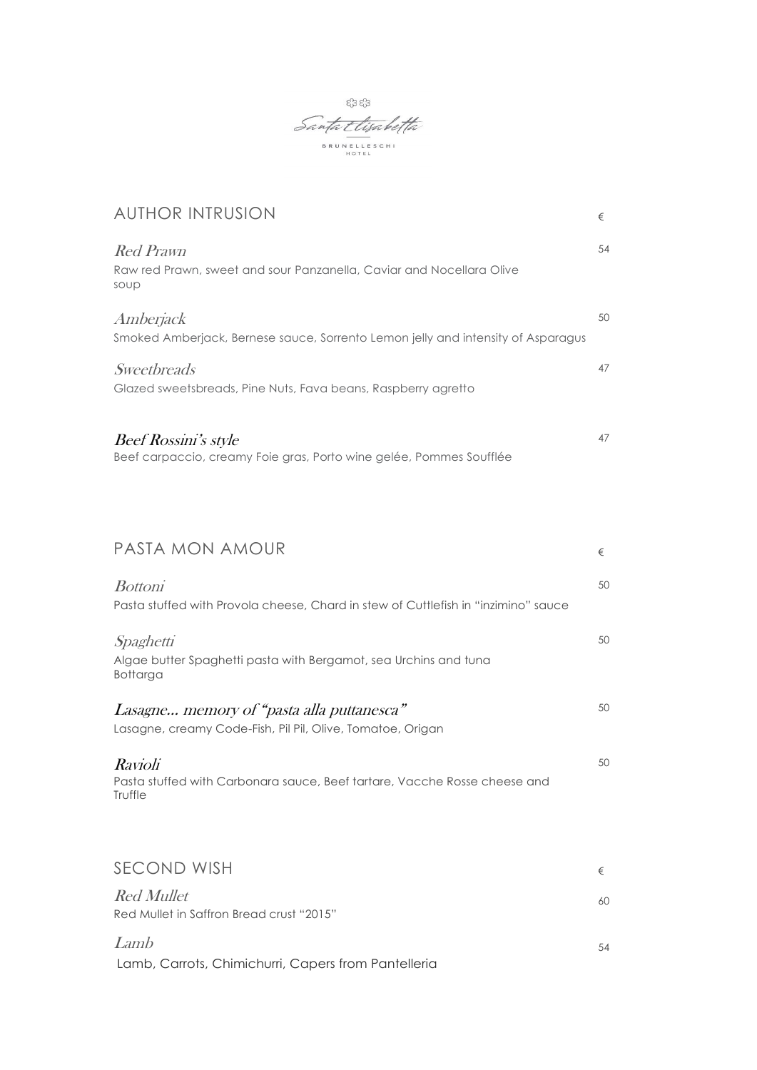

| <b>AUTHOR INTRUSION</b>                                                                                 | €  |
|---------------------------------------------------------------------------------------------------------|----|
| <b>Red Prawn</b><br>Raw red Prawn, sweet and sour Panzanella, Caviar and Nocellara Olive<br>soup        | 54 |
| Amberjack<br>Smoked Amberjack, Bernese sauce, Sorrento Lemon jelly and intensity of Asparagus           | 50 |
| Sweetbreads<br>Glazed sweetsbreads, Pine Nuts, Fava beans, Raspberry agretto                            | 47 |
| Beef Rossini's style<br>Beef carpaccio, creamy Foie gras, Porto wine gelée, Pommes Soufflée             | 47 |
| PASTA MON AMOUR                                                                                         | €  |
| <b>Bottoni</b><br>Pasta stuffed with Provola cheese, Chard in stew of Cuttlefish in "inzimino" sauce    | 50 |
| Spaghetti<br>Algae butter Spaghetti pasta with Bergamot, sea Urchins and tuna<br>Bottarga               | 50 |
| Lasagne memory of "pasta alla puttanesca"<br>Lasagne, creamy Code-Fish, Pil Pil, Olive, Tomatoe, Origan | 50 |
| <i>Ravioli</i><br>Pasta stuffed with Carbonara sauce, Beef tartare, Vacche Rosse cheese and<br>Truffle  | 50 |
| SECOND WISH                                                                                             | €  |
| <b>Red Mullet</b><br>Red Mullet in Saffron Bread crust "2015"                                           | 60 |
| Lamb                                                                                                    | 54 |

Lamb, Carrots, Chimichurri, Capers from Pantelleria